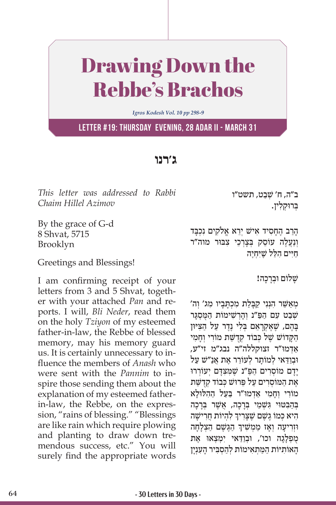## Drawing Down the Rebbe's Brachos

*Igros Kodesh Vol. 10 pp 298-9*

**Letter #19: Thursday evening, 28 Adar II - March 31**

## **ג'רנו**

*This letter was addressed to Rabbi Chaim Hillel Azimov*

By the grace of G-d 8 Shvat, 5715 Brooklyn

Greetings and Blessings!

I am confirming receipt of your letters from 3 and 5 Shvat, together with your attached *Pan* and reports. I will, *Bli Neder*, read them on the holy *Tziyon* of my esteemed father-in-law, the Rebbe of blessed memory, may his memory guard us. It is certainly unnecessary to influence the members of *Anash* who were sent with the *Pannim* to inspire those sending them about the explanation of my esteemed fatherin-law, the Rebbe, on the expression, "rains of blessing." "Blessings are like rain which require plowing and planting to draw down tremendous success, etc." You will surely find the appropriate words

ב״ה, ח׳ שַׁבט, תשט״ו ַבְּרוּקלין.

ָהַר ֶ ב הָח ִס ִ יד א ְ ישׁ יֵר ֱא א ִלֹק ִ ים נ ְכָּבד וְנַעֲלֶה עוֹסֵק בְּצַרְכֵי צִבּוּר מוה"ר הַיִּים הָלֵּל שֶׁיִּחְיֶה

שלום וּבִרכה!

ְמְאַשֵּׁר הְנִנִי קַבַּלַת מְכְתַּבַיו מְג' וְה' שׁבט עם הפּ"נ וָהְרשׁימוֹת המִסְגּר ַבְּהֶם, שֶׁאֱקְרַאֵם בְּלִי נֶדֶר עַל הַצִּיּוּן הַקַּדוֹשׁ שֶׁל כִּבוֹד קִדְשַּׁת מוֹרִי וְחַמִי ַאְד ּמו"ר זצוקללה"ה נבג"מ זי"ע, וּבִוּדאי לִמוֹתר לְעוֹרֵר אֵת אַנ״שׁ על יִדם מוֹסְרים הפּ״נ שָׁמַצִּדִם יְעוֹרְרוּ אַת המוֹסִרים על פֵּרוּשׁ כִּבוֹד קִדְשֵׁת מוֹרי וחמי אדמוּ"ר בּעל ההלוּלא בְּהַבְּטוּי גִּשְׁמֵי בְּרַכָה, אֲשֶׁר בְּרָכָה ְהִיא כְּמוֹ גֶשֶׁם שֶׁצָּרִיךְ לְהְיוֹת חֲרִישָׁה ֧֧֧֦֧֢ׅ֖֖֖֖֖֧֚֚֚֚֚֚֝֝֬<u>֓</u> וּזְרִיעָה וְאָז מַמְשִׁיךְ הַגֶּשֶׁם הַצְלָחָה מִפְלָגה וכו', וּבַודאי ימצאו את ָה ִאוֹ ת ּי ַ וֹ ת ה ַּמ ְת ִא ְ ימוֹ ת לַה ְס ִּב ָ יר ה ִעְנָין